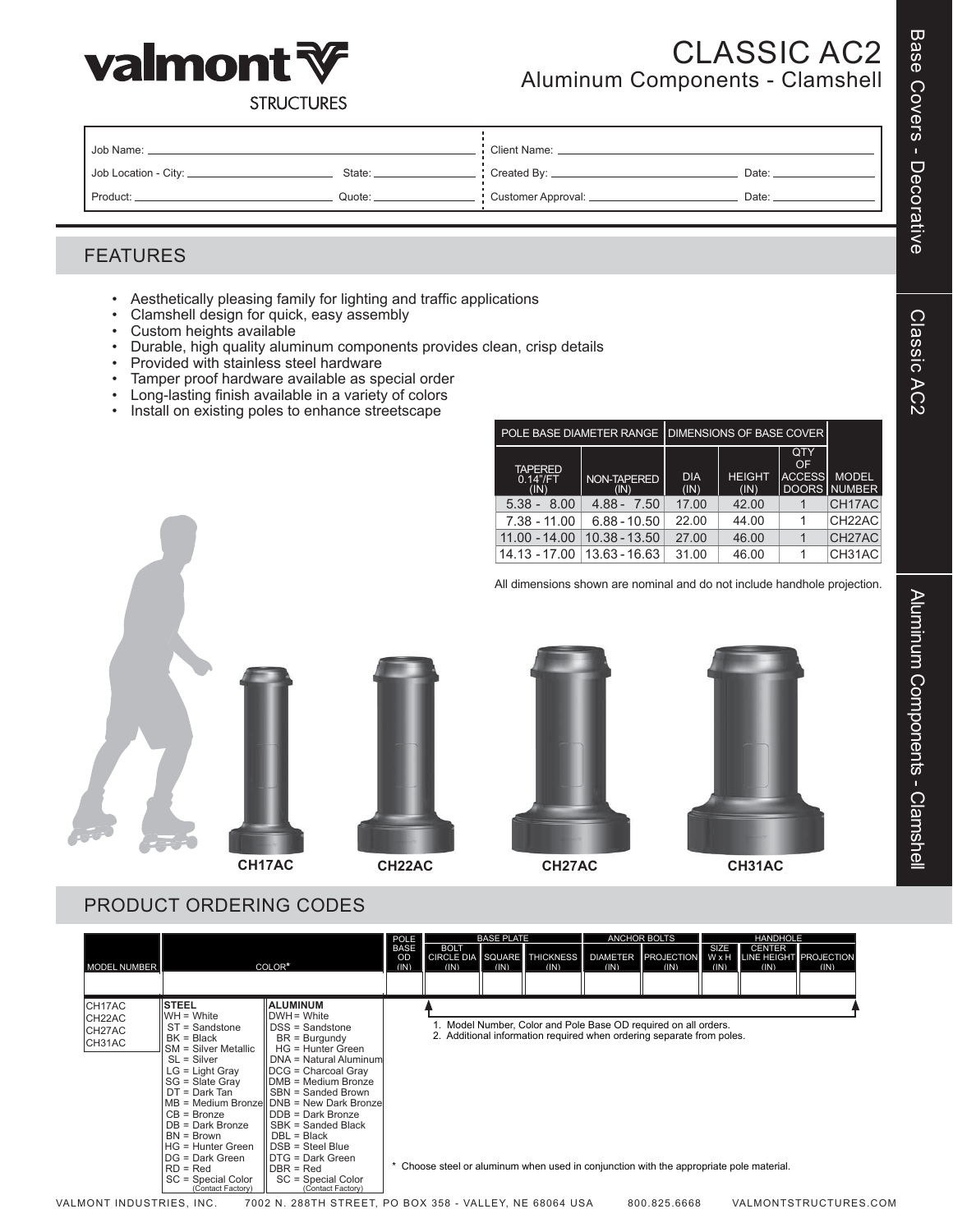

# CLASSIC AC2 Aluminum Components - Clamshell

**STRUCTURES** 

| Uob Name: _            |          | <b>Client Name:</b> |       |  |  |
|------------------------|----------|---------------------|-------|--|--|
| Job Location - City: _ | State: _ | Created By: _       | Date: |  |  |
| Product:               | Quote:   | Customer Approval:  | Date: |  |  |

#### FEATURES

- • Aesthetically pleasing family for lighting and traffic applications
- • Clamshell design for quick, easy assembly
- • Custom heights available
- Durable, high quality aluminum components provides clean, crisp details
- • Provided with stainless steel hardware
- • Tamper proof hardware available as special order
- • Long-lasting finish available in a variety of colors
- • Install on existing poles to enhance streetscape

|                                        |                     | POLE BASE DIAMETER RANGE   DIMENSIONS OF BASE COVER |                       |                            |                              |
|----------------------------------------|---------------------|-----------------------------------------------------|-----------------------|----------------------------|------------------------------|
| <b>TAPERED</b><br>$0.14$ "/FT.<br>(IN) | NON-TAPERED<br>(IN) | <b>DIA</b><br>(IN)                                  | <b>HEIGHT</b><br>(IN) | QTY<br>OF<br><b>ACCESS</b> | <b>MODEL</b><br>DOORS NUMBER |
| $5.38 -$<br>8.00                       | $4.88 -$<br>7.50    | 17.00                                               | 42.00                 |                            | CH17AC                       |
| $7.38 - 11.00$                         | $6.88 - 10.50$      | 22.00                                               | 44.00                 |                            | CH <sub>22</sub> AC          |
| $11.00 - 14.00$                        | 10.38 - 13.50       | 27.00                                               | 46.00                 |                            | CH27AC                       |
| 14.13 - 17.00                          | 13.63 - 16.63       | 31.00                                               | 46.00                 |                            | CH31AC                       |

All dimensions shown are nominal and do not include handhole projection.









#### PRODUCT ORDERING CODES

|                                      |                                                                                                                                                                                                                                                                                                                                        |                                                                                                                                                                                                                                                                                                                                                                                                                               | POLE                             |                     | <b>BASE PLATE</b> |                                     |      | <b>ANCHOR BOLTS</b>                                                                                                                                                                                                               |              | <b>HANDHOLE</b>                                       |      |
|--------------------------------------|----------------------------------------------------------------------------------------------------------------------------------------------------------------------------------------------------------------------------------------------------------------------------------------------------------------------------------------|-------------------------------------------------------------------------------------------------------------------------------------------------------------------------------------------------------------------------------------------------------------------------------------------------------------------------------------------------------------------------------------------------------------------------------|----------------------------------|---------------------|-------------------|-------------------------------------|------|-----------------------------------------------------------------------------------------------------------------------------------------------------------------------------------------------------------------------------------|--------------|-------------------------------------------------------|------|
| <b>MODEL NUMBER</b>                  |                                                                                                                                                                                                                                                                                                                                        | COLOR*                                                                                                                                                                                                                                                                                                                                                                                                                        | <b>BASE</b><br><b>OD</b><br>(IN) | <b>BOLT</b><br>(IN) | (IN)              | CIRCLE DIA SQUARE THICKNESS<br>(IN) | (IN) | DIAMETER <b>PROJECTION</b><br>(IN)                                                                                                                                                                                                | SIZE<br>(IN) | <b>CENTER</b><br>W x H LINE HEIGHT PROJECTION<br>(IN) | (IN) |
| CH17AC<br>CH22AC<br>CH27AC<br>CH31AC | <b>STEEL</b><br>$WH = White$<br>ST = Sandstone<br>$BK = Black$<br><b>SM</b> = Silver Metallic<br>$SL =$ Silver<br>$LG = Light Gray$<br>$SG = Slater$ Gray<br>$DT = Dark Tan$<br>$CB = Bronze$<br>$DB = Dark Bronze$<br>$BN = Brown$<br>$HG = Hunter Green$<br>DG = Dark Green<br>$RD = Red$<br>SC = Special Color<br>(Contact Factory) | <b>ALUMINUM</b><br>IDWH = White<br>DSS = Sandstone<br>$BR = Burgundv$<br>HG = Hunter Green<br>DNA = Natural Aluminum<br>IDCG = Charcoal Gray<br>IIDMB = Medium Bronze<br><b>ISBN = Sanded Brown</b><br>MB = Medium Bronzel DNB = New Dark Bronze<br><b>IDDB = Dark Bronze</b><br>SBK = Sanded Black<br>DBL = Black<br>IDSB = Steel Blue<br><b>IDTG = Dark Green</b><br>$DBR = Red$<br>SC = Special Color<br>(Contact Factory) |                                  |                     |                   |                                     |      | 1. Model Number, Color and Pole Base OD required on all orders.<br>2. Additional information required when ordering separate from poles.<br>Choose steel or aluminum when used in conjunction with the appropriate pole material. |              |                                                       |      |